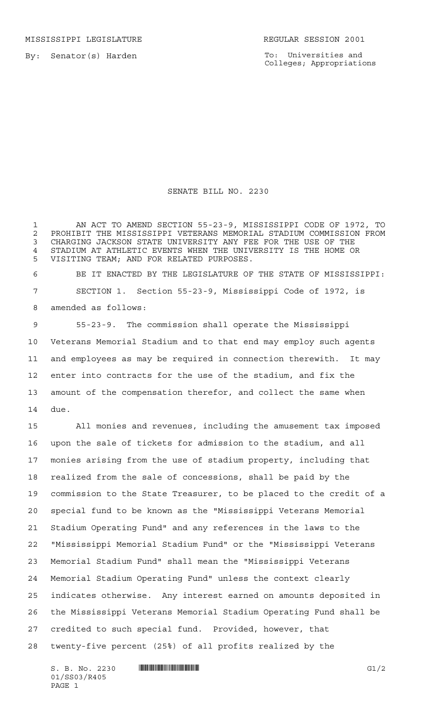MISSISSIPPI LEGISLATURE **REGULAR SESSION 2001** 

By: Senator(s) Harden

To: Universities and Colleges; Appropriations

## SENATE BILL NO. 2230

 AN ACT TO AMEND SECTION 55-23-9, MISSISSIPPI CODE OF 1972, TO 2 PROHIBIT THE MISSISSIPPI VETERANS MEMORIAL STADIUM COMMISSION FROM<br>3 CHARGING JACKSON STATE UNIVERSITY ANY FEE FOR THE USE OF THE CHARGING JACKSON STATE UNIVERSITY ANY FEE FOR THE USE OF THE STADIUM AT ATHLETIC EVENTS WHEN THE UNIVERSITY IS THE HOME OR VISITING TEAM; AND FOR RELATED PURPOSES.

 BE IT ENACTED BY THE LEGISLATURE OF THE STATE OF MISSISSIPPI: SECTION 1. Section 55-23-9, Mississippi Code of 1972, is amended as follows:

 55-23-9. The commission shall operate the Mississippi Veterans Memorial Stadium and to that end may employ such agents and employees as may be required in connection therewith. It may enter into contracts for the use of the stadium, and fix the amount of the compensation therefor, and collect the same when due.

 All monies and revenues, including the amusement tax imposed upon the sale of tickets for admission to the stadium, and all monies arising from the use of stadium property, including that realized from the sale of concessions, shall be paid by the commission to the State Treasurer, to be placed to the credit of a special fund to be known as the "Mississippi Veterans Memorial Stadium Operating Fund" and any references in the laws to the "Mississippi Memorial Stadium Fund" or the "Mississippi Veterans Memorial Stadium Fund" shall mean the "Mississippi Veterans Memorial Stadium Operating Fund" unless the context clearly indicates otherwise. Any interest earned on amounts deposited in the Mississippi Veterans Memorial Stadium Operating Fund shall be credited to such special fund. Provided, however, that twenty-five percent (25%) of all profits realized by the

 $S. B. No. 2230$  ...  $\blacksquare$   $\blacksquare$   $\blacksquare$   $\blacksquare$   $\blacksquare$   $\blacksquare$   $\blacksquare$   $\blacksquare$   $\blacksquare$   $\blacksquare$   $\blacksquare$   $\blacksquare$   $\blacksquare$   $\blacksquare$   $\blacksquare$   $\blacksquare$   $\blacksquare$   $\blacksquare$   $\blacksquare$   $\blacksquare$   $\blacksquare$   $\blacksquare$   $\blacksquare$   $\blacksquare$   $\blacksquare$   $\blacksquare$   $\blacksquare$   $\blacksquare$   $\blacksquare$  01/SS03/R405 PAGE 1